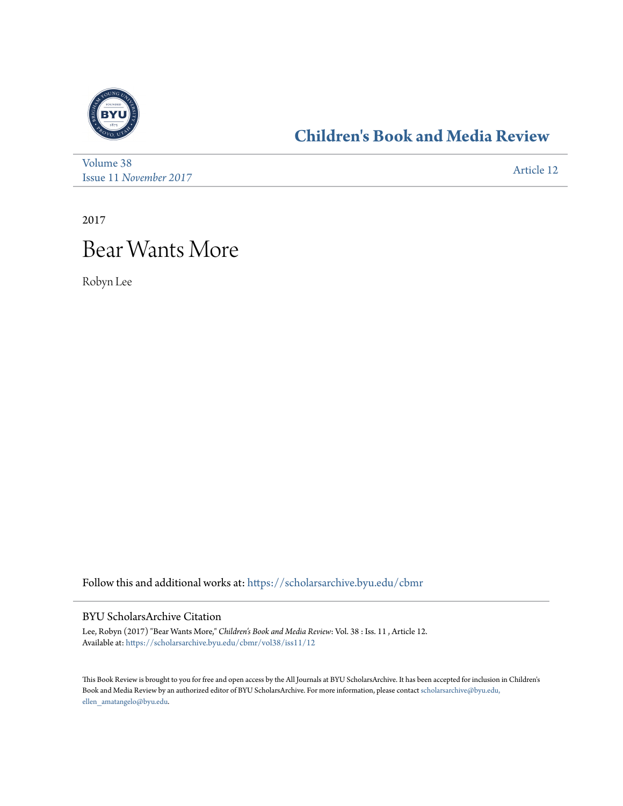

## **[Children's Book and Media Review](https://scholarsarchive.byu.edu/cbmr?utm_source=scholarsarchive.byu.edu%2Fcbmr%2Fvol38%2Fiss11%2F12&utm_medium=PDF&utm_campaign=PDFCoverPages)**

| Volume 38              | Article 12 |
|------------------------|------------|
| Issue 11 November 2017 |            |

2017

## Bear Wants More

Robyn Lee

Follow this and additional works at: [https://scholarsarchive.byu.edu/cbmr](https://scholarsarchive.byu.edu/cbmr?utm_source=scholarsarchive.byu.edu%2Fcbmr%2Fvol38%2Fiss11%2F12&utm_medium=PDF&utm_campaign=PDFCoverPages)

## BYU ScholarsArchive Citation

Lee, Robyn (2017) "Bear Wants More," *Children's Book and Media Review*: Vol. 38 : Iss. 11 , Article 12. Available at: [https://scholarsarchive.byu.edu/cbmr/vol38/iss11/12](https://scholarsarchive.byu.edu/cbmr/vol38/iss11/12?utm_source=scholarsarchive.byu.edu%2Fcbmr%2Fvol38%2Fiss11%2F12&utm_medium=PDF&utm_campaign=PDFCoverPages)

This Book Review is brought to you for free and open access by the All Journals at BYU ScholarsArchive. It has been accepted for inclusion in Children's Book and Media Review by an authorized editor of BYU ScholarsArchive. For more information, please contact [scholarsarchive@byu.edu,](mailto:scholarsarchive@byu.edu,%20ellen_amatangelo@byu.edu) [ellen\\_amatangelo@byu.edu.](mailto:scholarsarchive@byu.edu,%20ellen_amatangelo@byu.edu)